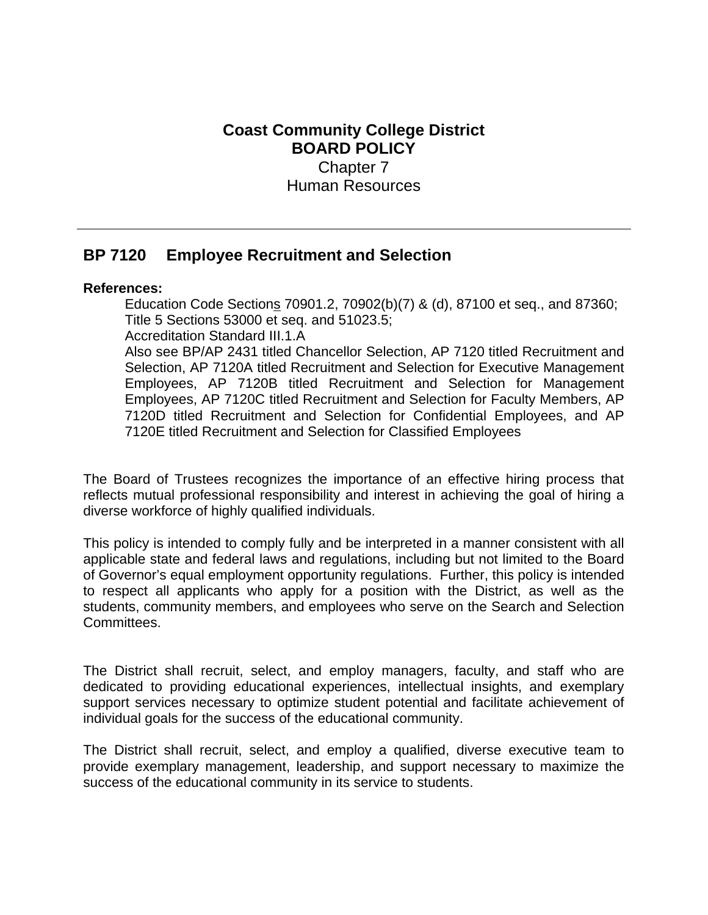## **Coast Community College District BOARD POLICY** Chapter 7 Human Resources

## **BP 7120 Employee Recruitment and Selection**

## **References:**

Education Code Sections 70901.2, 70902(b)(7) & (d), 87100 et seq., and 87360; Title 5 Sections 53000 et seq. and 51023.5; Accreditation Standard III.1.A Also see BP/AP 2431 titled Chancellor Selection, AP 7120 titled Recruitment and Selection, AP 7120A titled Recruitment and Selection for Executive Management Employees, AP 7120B titled Recruitment and Selection for Management Employees, AP 7120C titled Recruitment and Selection for Faculty Members, AP 7120D titled Recruitment and Selection for Confidential Employees, and AP 7120E titled Recruitment and Selection for Classified Employees

The Board of Trustees recognizes the importance of an effective hiring process that reflects mutual professional responsibility and interest in achieving the goal of hiring a diverse workforce of highly qualified individuals.

This policy is intended to comply fully and be interpreted in a manner consistent with all applicable state and federal laws and regulations, including but not limited to the Board of Governor's equal employment opportunity regulations. Further, this policy is intended to respect all applicants who apply for a position with the District, as well as the students, community members, and employees who serve on the Search and Selection Committees.

The District shall recruit, select, and employ managers, faculty, and staff who are dedicated to providing educational experiences, intellectual insights, and exemplary support services necessary to optimize student potential and facilitate achievement of individual goals for the success of the educational community.

The District shall recruit, select, and employ a qualified, diverse executive team to provide exemplary management, leadership, and support necessary to maximize the success of the educational community in its service to students.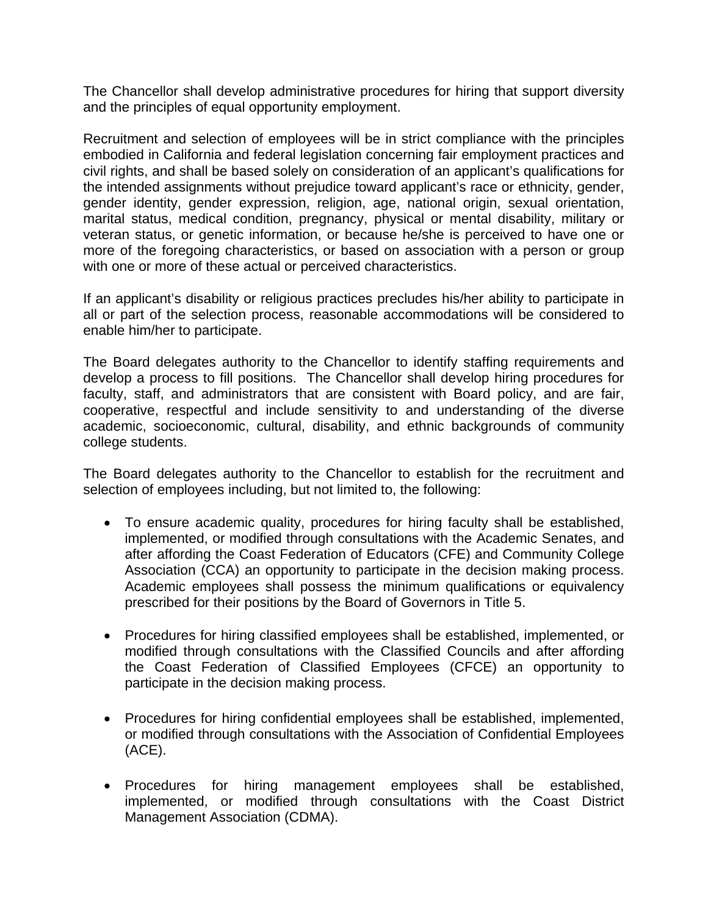The Chancellor shall develop administrative procedures for hiring that support diversity and the principles of equal opportunity employment.

Recruitment and selection of employees will be in strict compliance with the principles embodied in California and federal legislation concerning fair employment practices and civil rights, and shall be based solely on consideration of an applicant's qualifications for the intended assignments without prejudice toward applicant's race or ethnicity, gender, gender identity, gender expression, religion, age, national origin, sexual orientation, marital status, medical condition, pregnancy, physical or mental disability, military or veteran status, or genetic information, or because he/she is perceived to have one or more of the foregoing characteristics, or based on association with a person or group with one or more of these actual or perceived characteristics.

If an applicant's disability or religious practices precludes his/her ability to participate in all or part of the selection process, reasonable accommodations will be considered to enable him/her to participate.

 develop a process to fill positions. The Chancellor shall develop hiring procedures for The Board delegates authority to the Chancellor to identify staffing requirements and faculty, staff, and administrators that are consistent with Board policy, and are fair, cooperative, respectful and include sensitivity to and understanding of the diverse academic, socioeconomic, cultural, disability, and ethnic backgrounds of community college students.

The Board delegates authority to the Chancellor to establish for the recruitment and selection of employees including, but not limited to, the following:

- To ensure academic quality, procedures for hiring faculty shall be established, implemented, or modified through consultations with the Academic Senates, and after affording the Coast Federation of Educators (CFE) and Community College Association (CCA) an opportunity to participate in the decision making process. Academic employees shall possess the minimum qualifications or equivalency prescribed for their positions by the Board of Governors in Title 5.
- Procedures for hiring classified employees shall be established, implemented, or modified through consultations with the Classified Councils and after affording the Coast Federation of Classified Employees (CFCE) an opportunity to participate in the decision making process.
- Procedures for hiring confidential employees shall be established, implemented, or modified through consultations with the Association of Confidential Employees (ACE).
- Procedures for hiring management employees shall be established, implemented, or modified through consultations with the Coast District Management Association (CDMA).